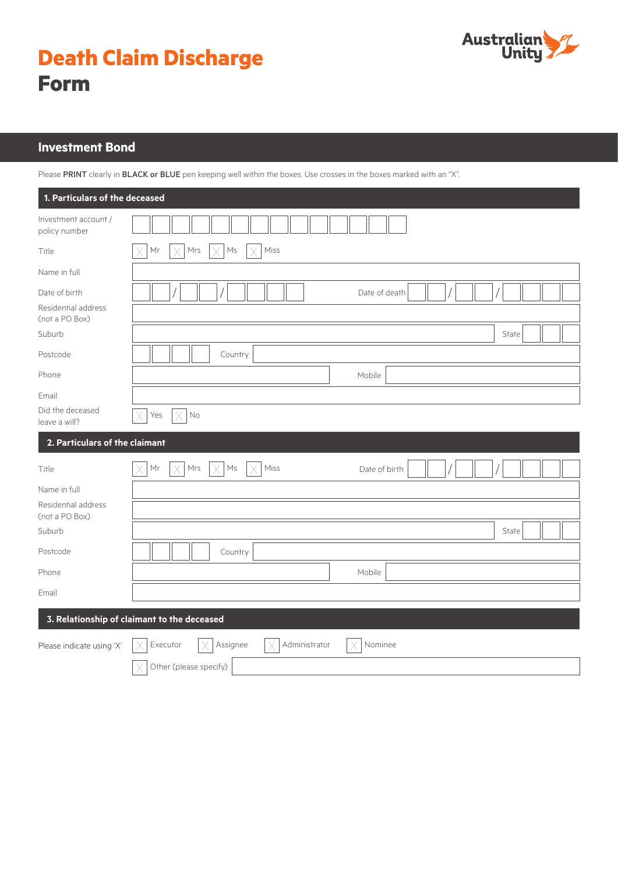



# **Investment Bond**

Please PRINT clearly in BLACK or BLUE pen keeping well within the boxes. Use crosses in the boxes marked with an "X".

| 1. Particulars of the deceased              |                                                  |  |  |  |  |
|---------------------------------------------|--------------------------------------------------|--|--|--|--|
| Investment account /<br>policy number       |                                                  |  |  |  |  |
| Title                                       | Miss<br>Mrs<br>$\mathsf{M}\mathsf{s}$<br>Mr      |  |  |  |  |
| Name in full                                |                                                  |  |  |  |  |
| Date of birth                               | Date of death                                    |  |  |  |  |
| Residential address<br>(not a PO Box)       |                                                  |  |  |  |  |
| Suburb                                      | State                                            |  |  |  |  |
| Postcode                                    | Country                                          |  |  |  |  |
| Phone                                       | Mobile                                           |  |  |  |  |
| Email                                       |                                                  |  |  |  |  |
| Did the deceased<br>leave a will?           | No<br>Yes                                        |  |  |  |  |
| 2. Particulars of the claimant              |                                                  |  |  |  |  |
| Title                                       | Miss<br>Mr<br>Mrs<br>Ms<br>V<br>Date of birth    |  |  |  |  |
| Name in full                                |                                                  |  |  |  |  |
| Residential address<br>(not a PO Box)       |                                                  |  |  |  |  |
| Suburb                                      | State                                            |  |  |  |  |
| Postcode                                    | Country                                          |  |  |  |  |
| Phone                                       | Mobile                                           |  |  |  |  |
| Email                                       |                                                  |  |  |  |  |
| 3. Relationship of claimant to the deceased |                                                  |  |  |  |  |
| Please indicate using 'X'                   | Assignee<br>Administrator<br>Executor<br>Nominee |  |  |  |  |
|                                             | Other (please specify)                           |  |  |  |  |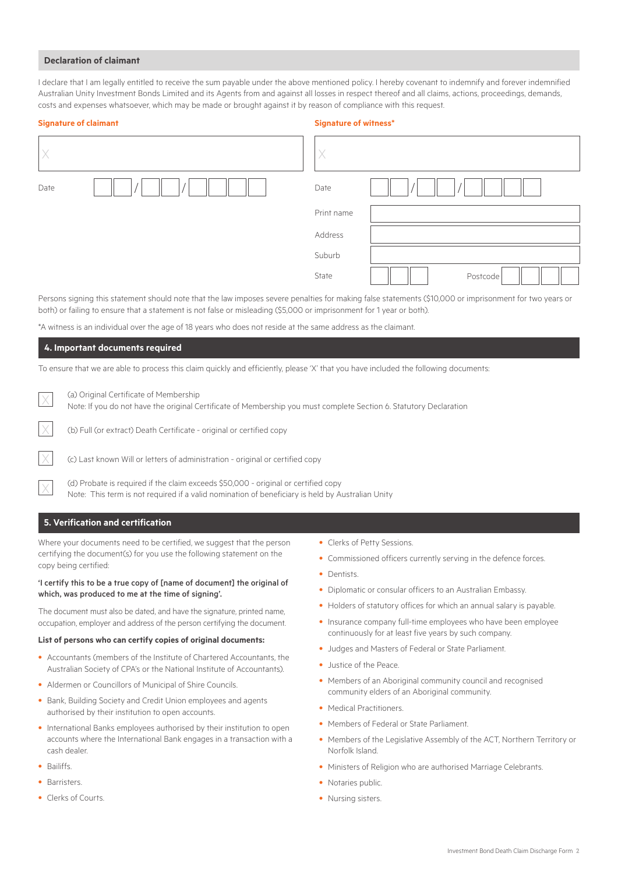#### **Declaration of claimant**

I declare that I am legally entitled to receive the sum payable under the above mentioned policy. I hereby covenant to indemnify and forever indemnified Australian Unity Investment Bonds Limited and its Agents from and against all losses in respect thereof and all claims, actions, proceedings, demands, costs and expenses whatsoever, which may be made or brought against it by reason of compliance with this request.

|      | <b>Signature of claimant</b> | <b>Signature of witness*</b> |          |
|------|------------------------------|------------------------------|----------|
|      |                              | X                            |          |
| Date |                              | Date                         |          |
|      |                              | Print name                   |          |
|      |                              | Address                      |          |
|      |                              | Suburb                       |          |
|      |                              | State                        | Postcode |

Persons signing this statement should note that the law imposes severe penalties for making false statements (\$10,000 or imprisonment for two years or both) or failing to ensure that a statement is not false or misleading (\$5,000 or imprisonment for 1 year or both).

\*A witness is an individual over the age of 18 years who does not reside at the same address as the claimant.

#### **4. Important documents required**

To ensure that we are able to process this claim quickly and efficiently, please 'X' that you have included the following documents:

(a) Original Certificate of Membership Note: If you do not have the original Certificate of Membership you must complete Section 6. Statutory Declaration

(b) Full (or extract) Death Certificate - original or certified copy

(c) Last known Will or letters of administration - original or certified copy

(d) Probate is required if the claim exceeds \$50,000 - original or certified copy Note: This term is not required if a valid nomination of beneficiary is held by Australian Unity

# **5. Verification and certification**

Where your documents need to be certified, we suggest that the person certifying the document(s) for you use the following statement on the copy being certified:

### 'I certify this to be a true copy of [name of document] the original of which, was produced to me at the time of signing'.

The document must also be dated, and have the signature, printed name, occupation, employer and address of the person certifying the document.

#### **List of persons who can certify copies of original documents:**

- Accountants (members of the Institute of Chartered Accountants, the Australian Society of CPA's or the National Institute of Accountants).
- Aldermen or Councillors of Municipal of Shire Councils.
- Bank, Building Society and Credit Union employees and agents authorised by their institution to open accounts.
- International Banks employees authorised by their institution to open accounts where the International Bank engages in a transaction with a cash dealer.
- Bailiffs.
- Barrictore
- Clerks of Courts.
- Clerks of Petty Sessions.
- Commissioned officers currently serving in the defence forces.
- Dentists.
- Diplomatic or consular officers to an Australian Embassy.
- Holders of statutory offices for which an annual salary is payable.
- Insurance company full-time employees who have been employee continuously for at least five years by such company.
- Judges and Masters of Federal or State Parliament.
- Justice of the Peace.
- Members of an Aboriginal community council and recognised community elders of an Aboriginal community.
- Medical Practitioners.
- Members of Federal or State Parliament.
- Members of the Legislative Assembly of the ACT, Northern Territory or Norfolk Island.
- Ministers of Religion who are authorised Marriage Celebrants.
- Notaries public.
- Nursing sisters.